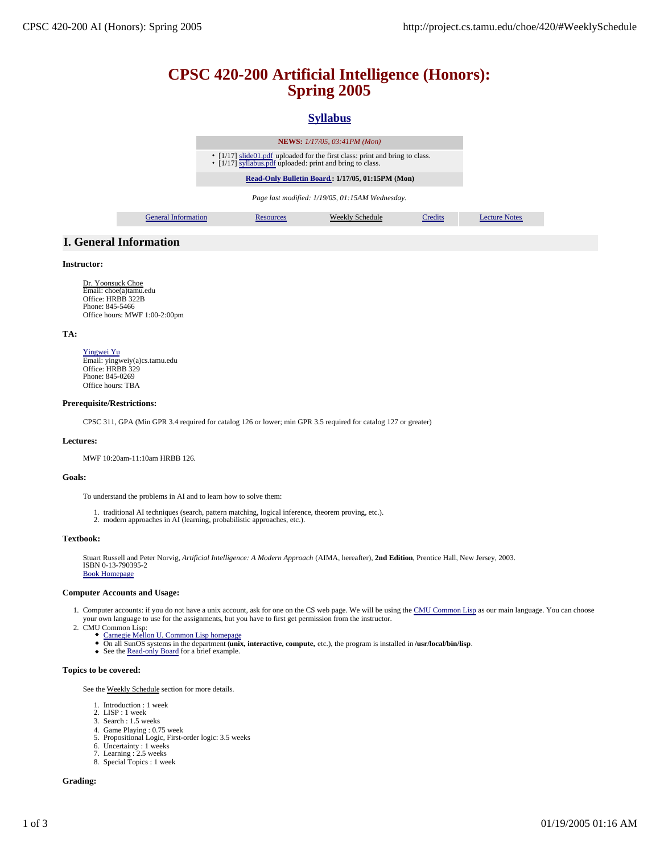# **CPSC 420-200 Artificial Intelligence (Honors): Spring 2005**

# **Syllabus**

|                            |                                                                                                                                           | <b>NEWS:</b> 1/17/05, 03:41PM (Mon)             |         |
|----------------------------|-------------------------------------------------------------------------------------------------------------------------------------------|-------------------------------------------------|---------|
|                            | • [1/17] slide01.pdf uploaded for the first class: print and bring to class.<br>• [1/17] syllabus.pdf uploaded: print and bring to class. |                                                 |         |
|                            | Read-Only Bulletin Board.: 1/17/05, 01:15PM (Mon)                                                                                         |                                                 |         |
|                            |                                                                                                                                           | Page last modified: 1/19/05, 01:15AM Wednesday. |         |
| <b>General Information</b> | <b>Resources</b>                                                                                                                          | Weekly Schedule                                 | Credits |
|                            |                                                                                                                                           |                                                 |         |

# **I. General Information**

# **Instructor:**

Dr. Yoonsuck Choe Email: choe(a)tamu.edu Office: HRBB 322B Phone: 845-5466 Office hours: MWF 1:00-2:00pm

# **TA:**

Yingwei Yu Email: yingweiy(a)cs.tamu.edu Office: HRBB 329 Phone: 845-0269 Office hours: TBA

### **Prerequisite/Restrictions:**

CPSC 311, GPA (Min GPR 3.4 required for catalog 126 or lower; min GPR 3.5 required for catalog 127 or greater)

#### **Lectures:**

MWF 10:20am-11:10am HRBB 126.

#### **Goals:**

To understand the problems in AI and to learn how to solve them:

- 1. traditional AI techniques (search, pattern matching, logical inference, theorem proving, etc.).
- 2. modern approaches in AI (learning, probabilistic approaches, etc.).

#### **Textbook:**

Stuart Russell and Peter Norvig, *Artificial Intelligence: A Modern Approach* (AIMA, hereafter), **2nd Edition**, Prentice Hall, New Jersey, 2003. ISBN 0-13-790395-2 Book Homepage

# **Computer Accounts and Usage:**

- 1. Computer accounts: if you do not have a unix account, ask for one on the CS web page. We will be using the CMU Common Lisp as our main language. You can choose your own language to use for the assignments, but you have to first get permission from the instructor.
- 2.
	-
	- CMU Common Lisp:<br>
	Carnegie Mellon U. Common Lisp homepage<br>
	On all SunOS systems in the department (unix, interactive, compute, etc.), the program is installed in /usr/local/bin/lisp.<br>
	See the Read-only Board for a b
		-

#### **Topics to be covered:**

See the Weekly Schedule section for more details.

- 1. Introduction : 1 week
- 2. LISP : 1 week
- 3. Search : 1.5 weeks
- 4. Game Playing : 0.75 week 5. Propositional Logic, First-order logic: 3.5 weeks
- 
- 6. Uncertainty : 1 weeks 7. Learning : 2.5 weeks
- 8. Special Topics : 1 week

### **Grading:**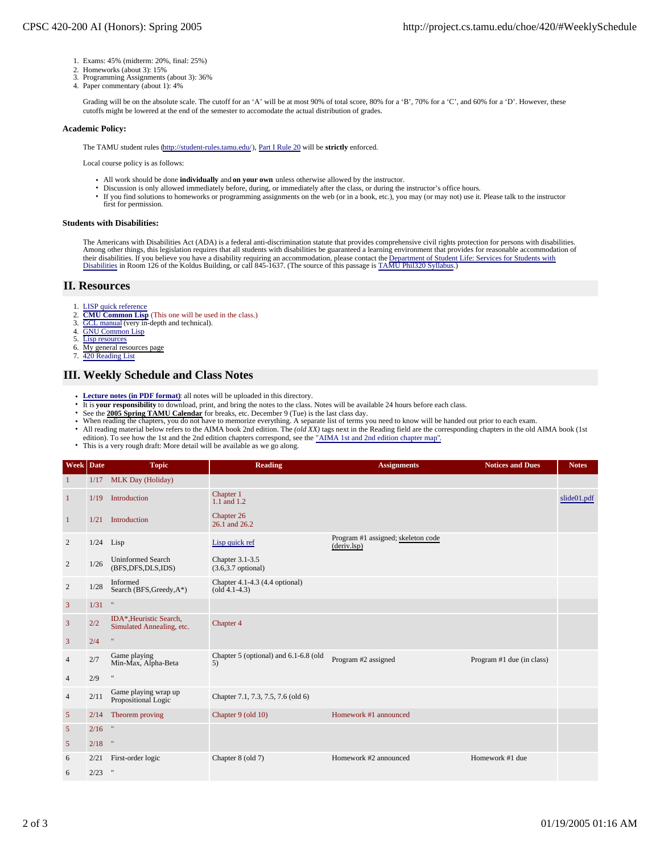- 1. Exams: 45% (midterm: 20%, final: 25%)
- 2. Homeworks (about 3): 15%
- 3. Programming Assignments (about 3): 36%
- 4. Paper commentary (about 1): 4%

Grading will be on the absolute scale. The cutoff for an 'A' will be at most 90% of total score, 80% for a 'B', 70% for a 'C', and 60% for a 'D'. However, these cutoffs might be lowered at the end of the semester to accomodate the actual distribution of grades.

### **Academic Policy:**

The TAMU student rules (http://student-rules.tamu.edu/), Part I Rule 20 will be **strictly** enforced.

Local course policy is as follows:

- All work should be done **individually** and **on your own** unless otherwise allowed by the instructor.
- Discussion is only allowed immediately before, during, or immediately after the class, or during the instructor's office hours.
- If you find solutions to homeworks or programming assignments on the web (or in a book, etc.), you may (or may not) use it. Please talk to the instructor first for permission.

### **Students with Disabilities:**

The Americans with Disabilities Act (ADA) is a federal anti-discrimination statute that provides comprehensive civil rights protection for persons with disabilities. Among other things, this legislation requires that all students with disabilities be guaranteed a learning environment that provides for reasonable accommodation of their disabilities. If you believe you have a disability requiring an accommodation, please contact the Department of Student Life: Services for Students with<br>Disabilities in Room 126 of the Koldus Building, or call 845-16

# **II. Resources**

- 1. LISP quick reference<br>2. CMU Common Lisp
- 2. **CMU Common Lisp** (This one will be used in the class.)<br>3. **GCL** manual (very in-depth and technical).
- GCL manual (very in-depth and technical).
- 4. GNU Common Lisp<br>5. Lisp resources
- Lisp resources
- 6. My general resources page
- 7. 420 Reading List

# **III. Weekly Schedule and Class Notes**

- Lecture notes (in PDF format): all notes will be uploaded in this directory.  $\bullet$
- It is **your responsibility** to download, print, and bring the notes to the class. Notes will be available 24 hours before each class.
- 
- See the 2005 Spring TAMU Calendar for breaks, etc. December 9 (Tue) is the last class day.<br>When reading the chapters, you do not have to memorize everything. A separate list of terms you need to know will be handed out pri
- All reading material below refers to the AIMA book 2nd edition. The *(old XX)* tags next in the Reading field are the corresponding chapters in the old AIMA book (1st edition). To see how the 1st and the 2nd edition chapters correspond, see the "AIMA 1st and 2nd edition chapter map".
- This is a very rough draft: More detail will be available as we go along.

| Week Date      |             | <b>Topic</b>                                        | <b>Reading</b>                                          | <b>Assignments</b>                                | <b>Notices and Dues</b>   | <b>Notes</b> |
|----------------|-------------|-----------------------------------------------------|---------------------------------------------------------|---------------------------------------------------|---------------------------|--------------|
| $\mathbf{1}$   | 1/17        | MLK Day (Holiday)                                   |                                                         |                                                   |                           |              |
| $\mathbf{1}$   | 1/19        | Introduction                                        | Chapter 1<br>$1.1$ and $1.2$                            |                                                   |                           | slide01.pdf  |
| $\mathbf{1}$   | 1/21        | <b>Introduction</b>                                 | Chapter 26<br>26.1 and 26.2                             |                                                   |                           |              |
| 2              | $1/24$ Lisp |                                                     | Lisp quick ref                                          | Program #1 assigned; skeleton code<br>(deriv.lsp) |                           |              |
| $\overline{c}$ | 1/26        | <b>Uninformed Search</b><br>(BFS, DFS, DLS, IDS)    | Chapter 3.1-3.5<br>$(3.6, 3.7$ optional)                |                                                   |                           |              |
| $\overline{2}$ | 1/28        | Informed<br>Search (BFS, Greedy, A*)                | Chapter 4.1-4.3 (4.4 optional)<br>$\left($ old 4.1-4.3) |                                                   |                           |              |
| $\overline{3}$ | 1/31        | $\mathbf{u}$                                        |                                                         |                                                   |                           |              |
| $\overline{3}$ | 2/2         | IDA*.Heuristic Search.<br>Simulated Annealing, etc. | Chapter 4                                               |                                                   |                           |              |
| $\mathfrak{Z}$ | 2/4         | $\mathbf{u}$                                        |                                                         |                                                   |                           |              |
| $\overline{4}$ | 2/7         | Game playing<br>Min-Max, Alpha-Beta                 | Chapter 5 (optional) and 6.1-6.8 (old<br>5)             | Program #2 assigned                               | Program #1 due (in class) |              |
| $\overline{4}$ | 2/9         | $\mathbf{H}$                                        |                                                         |                                                   |                           |              |
| $\overline{4}$ | 2/11        | Game playing wrap up<br>Propositional Logic         | Chapter 7.1, 7.3, 7.5, 7.6 (old 6)                      |                                                   |                           |              |
| $\sqrt{5}$     | 2/14        | Theorem proving                                     | Chapter 9 (old 10)                                      | Homework #1 announced                             |                           |              |
| 5              | 2/16        | $\eta$                                              |                                                         |                                                   |                           |              |
| $\mathfrak{S}$ | 2/18        | $\boldsymbol{\theta}$                               |                                                         |                                                   |                           |              |
| 6              | 2/21        | First-order logic                                   | Chapter 8 (old 7)                                       | Homework #2 announced                             | Homework #1 due           |              |
| 6              | 2/23        | $\overline{\phantom{a}}$                            |                                                         |                                                   |                           |              |